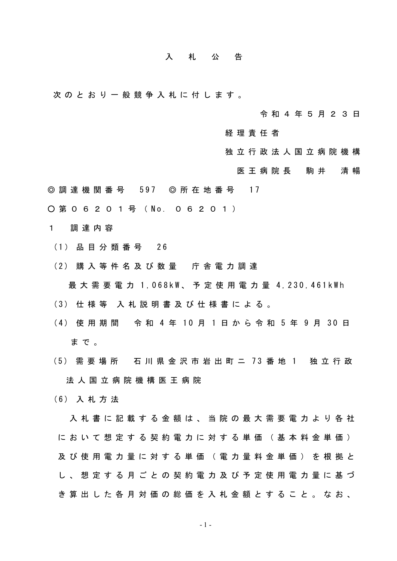## 入 札 公 告

次 の と お り 一 般 競 争 入 札 に 付 し ま す 。

令 和 4 年 5 月 2 3 日

経 理 責 任 者

- 独 立 行 政 法 人 国 立 病 院 機 構
	- 医 王 病 院 長 善 駒 井 善 清 暢
- ◎ 調 達 機 関 番 号 597 ◎ 所 在 地 番 号 17
- 第 0 6 2 0 1 号 ( No. 0 6 2 0 1 )

1 調 達 内 容

- ( 1 ) 品 目 分 類 番 号 2 6
- (2) 購 入 等 件 名 及 び 数 量 庁 舎 電 力 調 達

最 大 需 要 電 力 1,068kW、 予 定 使 用 電 力 量 4,230,461kWh

- (3) 仕 様 等 入 札 説 明 書 及 び 仕 様 書 に よ る 。
- (4) 使 用 期 間 令 和 4 年 10 月 1 日 か ら 令 和 5 年 9 月 30 日 まで。
- ( 5 ) 需 要 場 所 石川県 金 沢 市 岩 出 町 ニ 7 3 番 地 1 独 立 行 政 法 人 国 立 病 院 機 構 医 王 病 院
- ( 6 ) 入 札 方 法

入 札 書 に 記 載 す る 金 額 は 、 当 院 の 最 大 需 要 電 力 よ り 各 社 に お い て 想 定 す る 契 約 電 力 に 対 す る 単 価 ( 基 本 料 金 単 価 ) 及 び 使 用 電 力 量 に 対 す る 単 価 ( 電 力 量 料 金 単 価 ) を 根 拠 と し 、 想 定 す る 月 ご と の 契 約 電 力 及 び 予 定 使 用 電 力 量 に 基 づ き 算 出 し た 各 月 対 価 の 総 価 を 入 札 金 額 と す る こ と 。 な お 、

- 1 -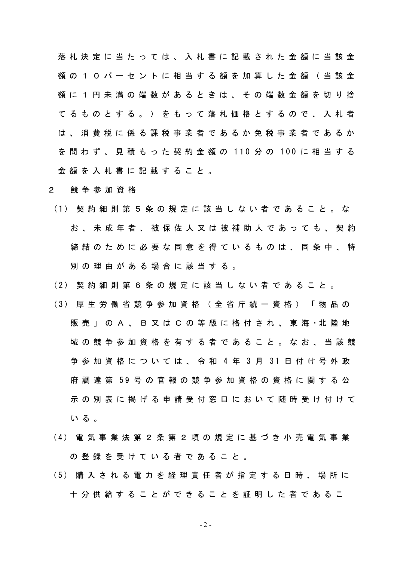落 札 決 定 に 当 た っ て は 、 入 札 書 に 記 載 さ れ た 金 額 に 当 該 金 額 の 1 0 パ ー セ ン ト に 相 当 す る 額 を 加 算 し た 金 額 ( 当 該 金 額 に 1 円 未 満 の 端 数 が あ る と き は 、 そ の 端 数 金 額 を 切 り 捨 て る も の と す る 。 ) を も っ て 落 札 価 格 と す る の で 、 入 札 者 は 、 消 費 税 に 係 る 課 税 事 業 者 で あ る か 免 税 事 業 者 で あ る か を 問 わ ず 、 見 積 も っ た 契 約 金 額 の 1 1 0 分 の 1 0 0 に 相 当 す る 金 額 を 入 札 書 に 記 載 す る こ と 。

## 2 競 争 参 加 資 格

- (1) 契 約 細 則 第 5 条 の 規 定 に 該 当 し な い 者 で あ る こ と 。 な お 、 未 成 年 者 、 被 保 佐 人 又 は 被 補 助 人 で あ っ て も 、 契 約 締 結 の た め に 必 要 な 同 意 を 得 て い る も の は 、 同 条 中 、 特 別 の 理 由 が あ る 場 合 に 該 当 す る 。
- (2) 契 約 細 則 第 6 条 の 規 定 に 該 当 し な い 者 で あ る こ と 。
- (3) 厚 生 労 働 省 競 争 参 加 資 格 ( 全 省 庁 統 一 資 格 ) 「 物 品 の 販売」 の A 、 B 又 は C の 等 級 に 格 付 さ れ 、 東 海 ・ 北 陸 地 域 の 競 争 参 加 資 格 を 有 す る 者 で あ る こ と 。 な お 、 当 該 競 争 参 加 資 格 に つ い て は 、 令 和 4 年 3 月 3 1 日 付 け 号 外 政 府 調 達 第 5 9 号 の 官 報 の 競 争 参 加 資 格 の 資 格 に 関 す る 公 示 の 別 表 に 掲 げ る 申 請 受 付 窓 口 に お い て 随 時 受 け 付 け て いる。
- (4) 電 気 事 業 法 第 2 条 第 2 項 の 規 定 に 基 づ き 小 売 電 気 事 業 の 登 録 を 受 け て い る 者 で あ る こ と 。
- (5) 購 入 さ れ る 電 力 を 経 理 責 任 者 が 指 定 す る 日 時 、 場 所 に 十 分 供 給 す る こ と が で き る こ と を 証 明 し た 者 で あ る こ

$$
-2-
$$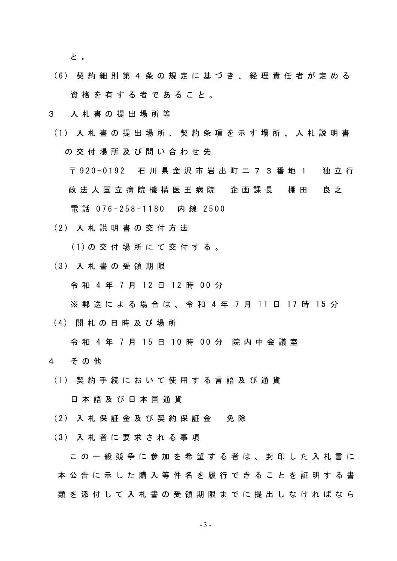と 。

- (6) 契 約 細 則 第 4 条 の 規 定 に 基 づ き 、 経 理 責 任 者 が 定 め る 資格 を 有 す る 者 で あ る こ と 。
- 3 入 札 書 の 提 出 場 所 等
- (1) 入 札 書 の 提 出 場 所 、 契 約 条 項 を 示 す 場 所 、 入 札 説 明 書 の 交 付 場 所 及 び 問 い 合 わ せ 先 〒 920-0192 石 川 県 金 沢 市 岩 出 町 ニ 7 3 番 地 1 独 立 行 政 法 人 国 立 病 院 機 構 医 王 病 院 」 企 画 課 長 一 棚 田 良 之 電話 076-258-1180 内線 2500
- (2) 入 札 説 明 書 の 交 付 方 法

(1) の 交 付 場 所 に て 交 付 す る 。

( 3 ) 入 札 書 の 受 領 期 限

令 和 4 年 7 月 12 日 12 時 00 分

※ 郵送による場合は、令和4年7月11日17時15分

( 4 ) 開 札 の 日 時 及 び 場 所

令 和 4 年 7 月 15 日 10 時 00 分 院 内 中 会 議 室

- 4 そ の 他
	- (1) 契 約 手 続 に お い て 使 用 す る 言 語 及 び 通 貨

日 本 語 及 び 日 本 国 通 貨

- (2) 入 札 保 証 金 及 び 契 約 保 証 金 9 免 除
- (3) 入 札 者 に 要 求 さ れ る 事 項

こ の 一 般 競 争 に 参 加 を 希 望 す る 者 は 、 封 印 し た 入 札 書 に 本 公 告 に 示 し た 購 入 等 件 名 を 履 行 で き る こ と を 証 明 す る 書 類 を 添 付 し て 入 札 書 の 受 領 期 限 ま で に 提 出 し な け れ ば な ら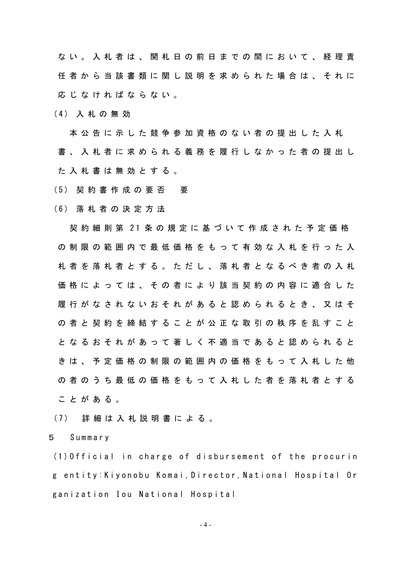な い 。 入 札 者 は 、 開 札 日 の 前 日 ま で の 間 に お い て 、 経 理 責 任 者 か ら 当 該 書 類 に 関 し 説 明 を 求 め ら れ た 場 合 は 、 そ れ に 応 じ な け れ ば な ら な い 。

( 4 ) 入 札 の 無 効

本 公 告 に 示 し た 競 争 参 加 資 格 の な い 者 の 提 出 し た 入 札 書 、 入 札 者 に 求 め ら れ る 義 務 を 履 行 し な か っ た 者 の 提 出 し た入札 書 は 無 効 と す る 。

- (5) 契約書作成の要否 要
- ( 6 ) 落 札 者 の 決 定 方 法

契 約 細 則 第 21 条 の 規 定 に 基 づ い て 作 成 さ れ た 予 定 価 格 の 制 限 の 範 囲 内 で 最 低 価 格 を も っ て 有 効 な 入 札 を 行 っ た 入 札 者 を 落 札 者 と す る 。 た だ し 、 落 札 者 と な る べ き 者 の 入 札 価 格 に よ っ て は 、 そ の 者 に よ り 該 当 契 約 の 内 容 に 適 合 し た 履 行 が な さ れ な い お そ れ が あ る と 認 め ら れ る と き 、 又 は そ の 者 と 契 約 を 締 結 す る こ と が 公 正 な 取 引 の 秩 序 を 乱 す こ と と な る お そ れ が あ っ て 著 し く 不 適 当 で あ る と 認 め ら れ る と き は 、 予 定 価 格 の 制 限 の 範 囲 内 の 価 格 を も っ て 入 札 し た 他 の 者 の う ち 最 低 の 価 格 を も っ て 入 札 し た 者 を 落 札 者 と す る こ と が あ る 。

(7) 詳 細 は 入 札 説 明 書 に よ る 。

5 S u m m a r y

 $(1)$  Official in charge of disbursement of the procurin g entity: Kiyonobu Komai, Director, National Hospital Or ganization Iou National Hospital

- 4 -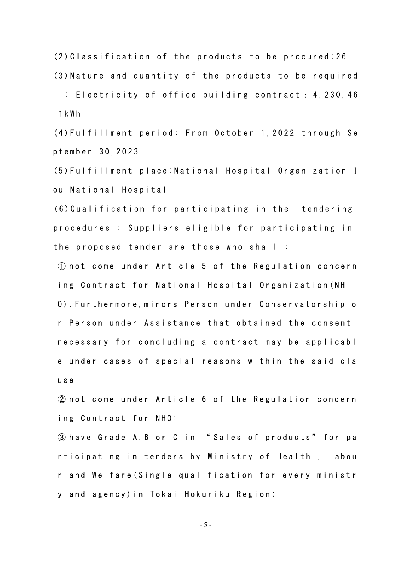$(2)$  C lass ification of the products to be procured  $26$  $(3)$  Nature and quantity of the products to be required

: Electricity of office building contract :  $4, 230, 46$ 1 k W h

(4) Fulfillment period: From October 1, 2022 through Se ptember 3 0 , 2 0 2 3

(5) Fulfillment place: National Hospital Organization I ou National Hospital

 $(6)$  Qualification for participating in the tendering procedures : Suppliers eligible for participating in the proposed tender are those who shall  $\vdots$ 

 $(1)$  not come under Article 5 of the Regulation concern ing Contract for National Hospital Organization (NH O). Furthermore, minors, Person under Conservatorship o r Person under Assistance that obtained the consent necessary for concluding a contract may be applicabl e under cases of special reasons within the said cla use;

 $(2)$  not come under Article 6 of the Regulation concern ing Contract for NHO;

3 have Grade A, B or C in "Sales of products" for pa rticipating in tenders by Ministry of Health, Labou r and Welfare (Single qualification for every ministr y and agency) in Tokai-Hokuriku Region;

- 5 -